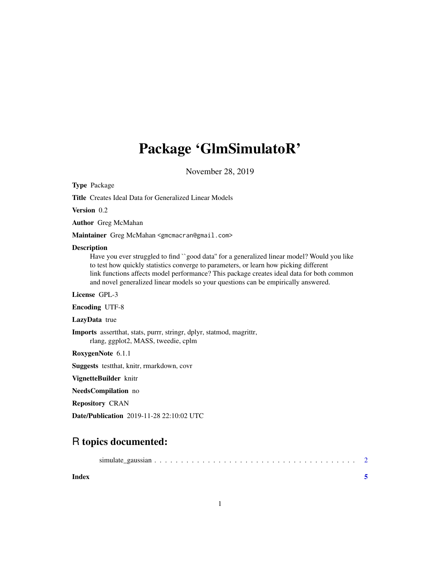## Package 'GlmSimulatoR'

November 28, 2019

<span id="page-0-0"></span>Type Package

Title Creates Ideal Data for Generalized Linear Models

Version 0.2

Author Greg McMahan

Maintainer Greg McMahan <gmcmacran@gmail.com>

#### Description

Have you ever struggled to find ``good data" for a generalized linear model? Would you like to test how quickly statistics converge to parameters, or learn how picking different link functions affects model performance? This package creates ideal data for both common and novel generalized linear models so your questions can be empirically answered.

License GPL-3

Encoding UTF-8

LazyData true

Imports assertthat, stats, purrr, stringr, dplyr, statmod, magrittr, rlang, ggplot2, MASS, tweedie, cplm

RoxygenNote 6.1.1

Suggests testthat, knitr, rmarkdown, covr

VignetteBuilder knitr

NeedsCompilation no

Repository CRAN

Date/Publication 2019-11-28 22:10:02 UTC

### R topics documented:

1

**Index** [5](#page-4-0). The second state of the second state of the second state of the second state of the second state of the second state of the second state of the second state of the second state of the second state of the second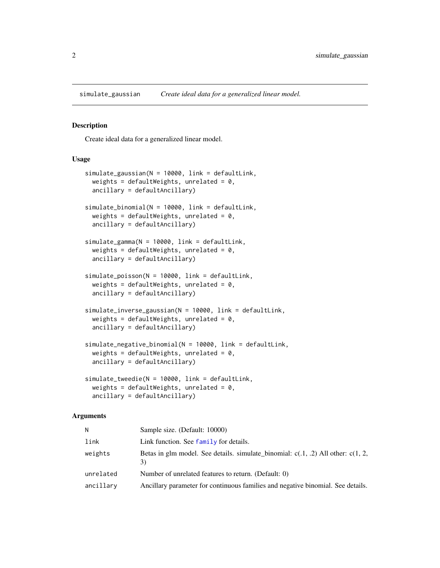<span id="page-1-0"></span>simulate\_gaussian *Create ideal data for a generalized linear model.*

#### Description

Create ideal data for a generalized linear model.

#### Usage

```
simulate_gaussian(N = 10000, link = defaultLink,
 weights = defaultWeights, unrelated = 0,
  ancillary = defaultAncillary)
simulate_binomial(N = 10000, link = defaultLink,
 weights = defaultWeights, unrelated = 0,
  ancillary = defaultAncillary)
simulate_gamma(N = 10000, link = defaultLink,
 weights = defaultWeights, unrelated = 0,
  ancillary = defaultAncillary)
simulate_poisson(N = 10000, link = defaultLink,
 weights = defaultWeights, unrelated = 0,
  ancillary = defaultAncillary)
simulate_inverse_gaussian(N = 10000, link = defaultLink,
 weights = defaultWeights, unrelated = 0,
  ancillary = defaultAncillary)
simulate_negative_binomial(N = 10000, link = defaultLink,
 weights = defaultWeights, unrelated = 0,
  ancillary = defaultAncillary)
simulate_tweedie(N = 10000, link = defaultLink,
 weights = defaultWeights, unrelated = 0,
  ancillary = defaultAncillary)
```
#### Arguments

| N         | Sample size. (Default: 10000)                                                               |
|-----------|---------------------------------------------------------------------------------------------|
| link      | Link function. See family for details.                                                      |
| weights   | Betas in glm model. See details. simulate_binomial: $c(0.1, 0.2)$ All other: $c(1, 2, 0.2)$ |
| unrelated | Number of unrelated features to return. (Default: 0)                                        |
| ancillary | Ancillary parameter for continuous families and negative binomial. See details.             |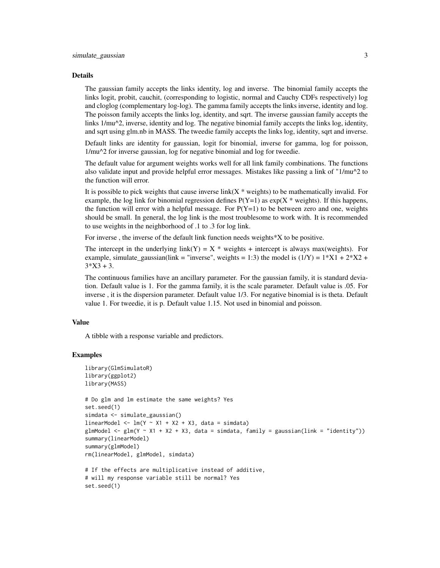#### Details

The gaussian family accepts the links identity, log and inverse. The binomial family accepts the links logit, probit, cauchit, (corresponding to logistic, normal and Cauchy CDFs respectively) log and cloglog (complementary log-log). The gamma family accepts the links inverse, identity and log. The poisson family accepts the links log, identity, and sqrt. The inverse gaussian family accepts the links 1/mu^2, inverse, identity and log. The negative binomial family accepts the links log, identity, and sqrt using glm.nb in MASS. The tweedie family accepts the links log, identity, sqrt and inverse.

Default links are identity for gaussian, logit for binomial, inverse for gamma, log for poisson, 1/mu^2 for inverse gaussian, log for negative binomial and log for tweedie.

The default value for argument weights works well for all link family combinations. The functions also validate input and provide helpful error messages. Mistakes like passing a link of "1/mu^2 to the function will error.

It is possible to pick weights that cause inverse link( $X^*$  weights) to be mathematically invalid. For example, the log link for binomial regression defines  $P(Y=1)$  as  $exp(X * weights)$ . If this happens, the function will error with a helpful message. For  $P(Y=1)$  to be between zero and one, weights should be small. In general, the log link is the most troublesome to work with. It is recommended to use weights in the neighborhood of .1 to .3 for log link.

For inverse , the inverse of the default link function needs weights\*X to be positive.

The intercept in the underlying link(Y) = X  $*$  weights + intercept is always max(weights). For example, simulate gaussian(link = "inverse", weights = 1:3) the model is  $(1/Y) = 1*X1 + 2*X2 +$  $3*X3 + 3$ .

The continuous families have an ancillary parameter. For the gaussian family, it is standard deviation. Default value is 1. For the gamma family, it is the scale parameter. Default value is .05. For inverse , it is the dispersion parameter. Default value 1/3. For negative binomial is is theta. Default value 1. For tweedie, it is p. Default value 1.15. Not used in binomial and poisson.

#### Value

A tibble with a response variable and predictors.

#### Examples

set.seed(1)

```
library(GlmSimulatoR)
library(ggplot2)
library(MASS)
# Do glm and lm estimate the same weights? Yes
set.seed(1)
simdata <- simulate_gaussian()
linearModel \leq - \ln(Y \sim X1 + X2 + X3, \text{ data = simdata})glmModel \leq glm(Y \sim X1 + X2 + X3, data = simdata, family = gaussian(link = "identity"))
summary(linearModel)
summary(glmModel)
rm(linearModel, glmModel, simdata)
# If the effects are multiplicative instead of additive,
# will my response variable still be normal? Yes
```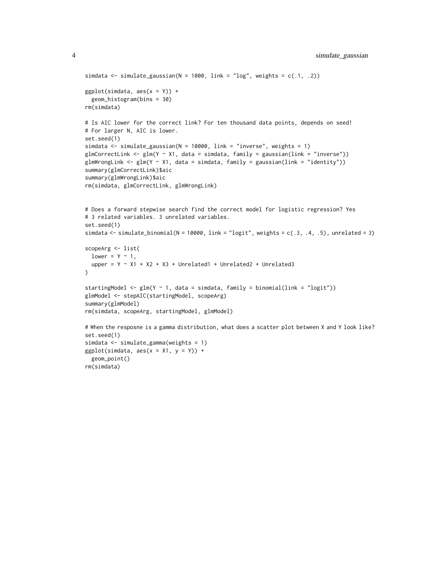```
simdata \le simulate_gaussian(N = 1000, link = "log", weights = c(.1, .2))
ggplot(simdata, aes(x = Y)) +geom_histogram(bins = 30)
rm(simdata)
# Is AIC lower for the correct link? For ten thousand data points, depends on seed!
# For larger N, AIC is lower.
set.seed(1)
simdata \le simulate_gaussian(N = 10000, link = "inverse", weights = 1)
glmCorrectLink <- glm(Y \sim X1), data = simdata, family = gaussian(link = "inverse"))
glmWrongLink <- glm(Y \sim X1, data = simdata, family = gaussian(link = "identity"))
summary(glmCorrectLink)$aic
summary(glmWrongLink)$aic
rm(simdata, glmCorrectLink, glmWrongLink)
# Does a forward stepwise search find the correct model for logistic regression? Yes
# 3 related variables. 3 unrelated variables.
set.seed(1)
simdata <- simulate_binomial(N = 10000, link = "logit", weights = c(.3, .4, .5), unrelated = 3)
scopeArg <- list(
 lower = Y ~ 1,upper = Y \sim X1 + X2 + X3 + Unrelated1 + Unrelated2 + Unrelated3
\mathcal{L}startingModel <- glm(Y \sim 1, data = simdata, family = binomial(link = "logit"))glmModel <- stepAIC(startingModel, scopeArg)
summary(glmModel)
rm(simdata, scopeArg, startingModel, glmModel)
# When the resposne is a gamma distribution, what does a scatter plot between X and Y look like?
set.seed(1)
simdata <- simulate_gamma(weights = 1)
ggplot(simdata, aes(x = X1, y = Y)) +geom_point()
```
rm(simdata)